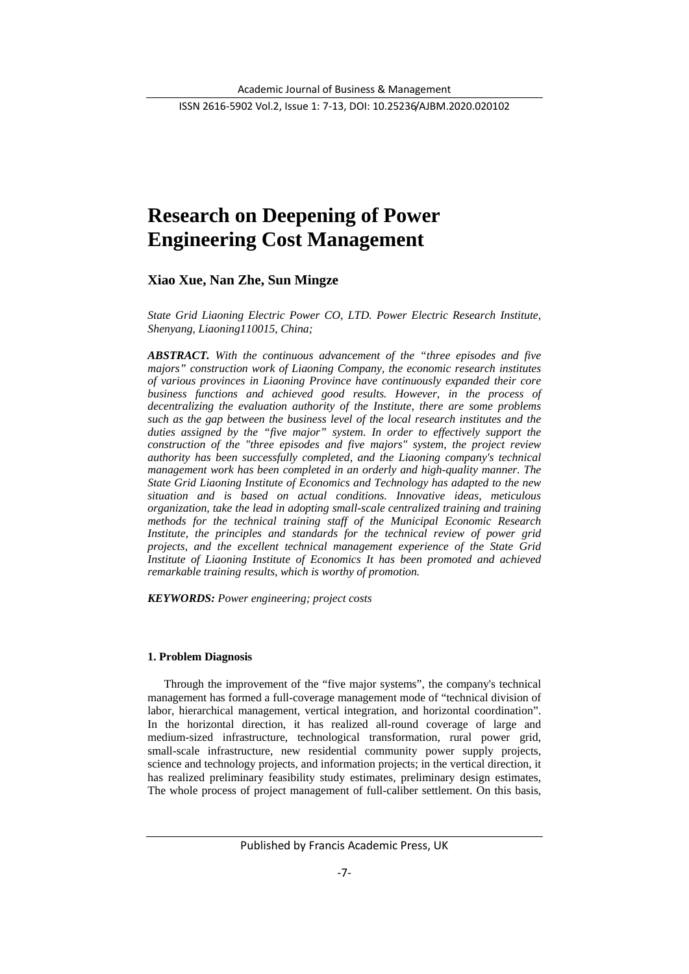ISSN 2616-5902 Vol.2, Issue 1: 7-13, DOI: 10.25236/AJBM.2020.020102

# **Research on Deepening of Power Engineering Cost Management**

**Xiao Xue, Nan Zhe, Sun Mingze**

*State Grid Liaoning Electric Power CO, LTD. Power Electric Research Institute, Shenyang, Liaoning110015, China;*

*ABSTRACT. With the continuous advancement of the "three episodes and five majors" construction work of Liaoning Company, the economic research institutes of various provinces in Liaoning Province have continuously expanded their core business functions and achieved good results. However, in the process of decentralizing the evaluation authority of the Institute, there are some problems such as the gap between the business level of the local research institutes and the*  duties assigned by the "five major" system. In order to effectively support the *construction of the "three episodes and five majors" system, the project review authority has been successfully completed, and the Liaoning company's technical management work has been completed in an orderly and high-quality manner. The State Grid Liaoning Institute of Economics and Technology has adapted to the new situation and is based on actual conditions. Innovative ideas, meticulous organization, take the lead in adopting small-scale centralized training and training methods for the technical training staff of the Municipal Economic Research Institute, the principles and standards for the technical review of power grid projects, and the excellent technical management experience of the State Grid Institute of Liaoning Institute of Economics It has been promoted and achieved remarkable training results, which is worthy of promotion.*

*KEYWORDS: Power engineering; project costs*

#### **1. Problem Diagnosis**

Through the improvement of the "five major systems", the company's technical management has formed a full-coverage management mode of "technical division of labor, hierarchical management, vertical integration, and horizontal coordination". In the horizontal direction, it has realized all-round coverage of large and medium-sized infrastructure, technological transformation, rural power grid, small-scale infrastructure, new residential community power supply projects, science and technology projects, and information projects; in the vertical direction, it has realized preliminary feasibility study estimates, preliminary design estimates, The whole process of project management of full-caliber settlement. On this basis,

Published by Francis Academic Press, UK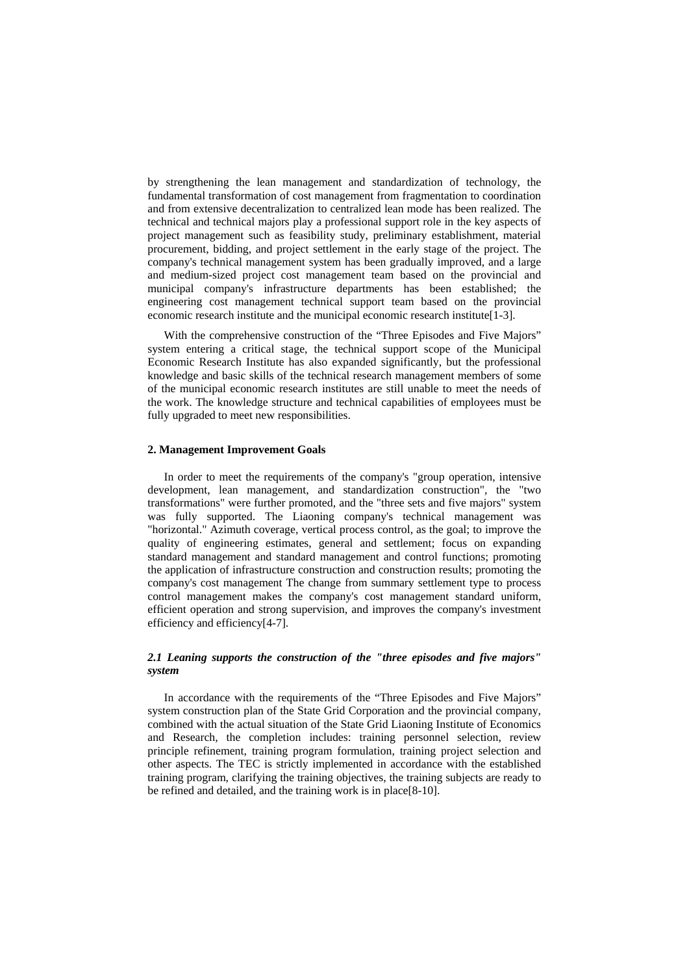by strengthening the lean management and standardization of technology, the fundamental transformation of cost management from fragmentation to coordination and from extensive decentralization to centralized lean mode has been realized. The technical and technical majors play a professional support role in the key aspects of project management such as feasibility study, preliminary establishment, material procurement, bidding, and project settlement in the early stage of the project. The company's technical management system has been gradually improved, and a large and medium-sized project cost management team based on the provincial and municipal company's infrastructure departments has been established; the engineering cost management technical support team based on the provincial economic research institute and the municipal economic research institute[1-3].

With the comprehensive construction of the "Three Episodes and Five Majors" system entering a critical stage, the technical support scope of the Municipal Economic Research Institute has also expanded significantly, but the professional knowledge and basic skills of the technical research management members of some of the municipal economic research institutes are still unable to meet the needs of the work. The knowledge structure and technical capabilities of employees must be fully upgraded to meet new responsibilities.

## **2. Management Improvement Goals**

In order to meet the requirements of the company's "group operation, intensive development, lean management, and standardization construction", the "two transformations" were further promoted, and the "three sets and five majors" system was fully supported. The Liaoning company's technical management was "horizontal." Azimuth coverage, vertical process control, as the goal; to improve the quality of engineering estimates, general and settlement; focus on expanding standard management and standard management and control functions; promoting the application of infrastructure construction and construction results; promoting the company's cost management The change from summary settlement type to process control management makes the company's cost management standard uniform, efficient operation and strong supervision, and improves the company's investment efficiency and efficiency[4-7].

# *2.1 Leaning supports the construction of the "three episodes and five majors" system*

In accordance with the requirements of the "Three Episodes and Five Majors" system construction plan of the State Grid Corporation and the provincial company, combined with the actual situation of the State Grid Liaoning Institute of Economics and Research, the completion includes: training personnel selection, review principle refinement, training program formulation, training project selection and other aspects. The TEC is strictly implemented in accordance with the established training program, clarifying the training objectives, the training subjects are ready to be refined and detailed, and the training work is in place[8-10].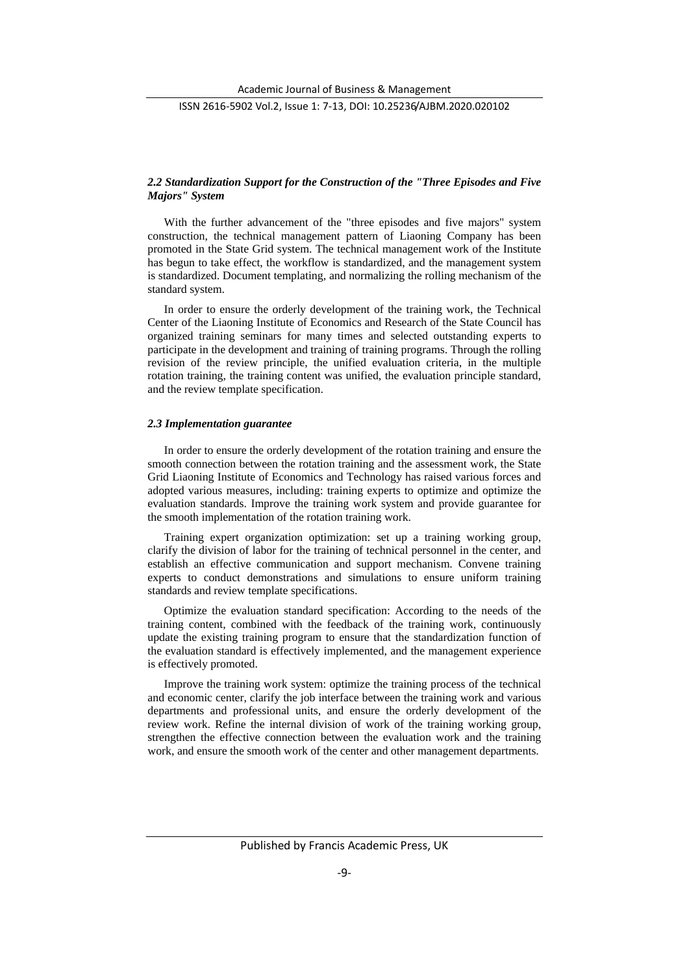ISSN 2616-5902 Vol.2, Issue 1: 7-13, DOI: 10.25236/AJBM.2020.020102

# *2.2 Standardization Support for the Construction of the "Three Episodes and Five Majors" System*

With the further advancement of the "three episodes and five majors" system construction, the technical management pattern of Liaoning Company has been promoted in the State Grid system. The technical management work of the Institute has begun to take effect, the workflow is standardized, and the management system is standardized. Document templating, and normalizing the rolling mechanism of the standard system.

In order to ensure the orderly development of the training work, the Technical Center of the Liaoning Institute of Economics and Research of the State Council has organized training seminars for many times and selected outstanding experts to participate in the development and training of training programs. Through the rolling revision of the review principle, the unified evaluation criteria, in the multiple rotation training, the training content was unified, the evaluation principle standard, and the review template specification.

#### *2.3 Implementation guarantee*

In order to ensure the orderly development of the rotation training and ensure the smooth connection between the rotation training and the assessment work, the State Grid Liaoning Institute of Economics and Technology has raised various forces and adopted various measures, including: training experts to optimize and optimize the evaluation standards. Improve the training work system and provide guarantee for the smooth implementation of the rotation training work.

Training expert organization optimization: set up a training working group, clarify the division of labor for the training of technical personnel in the center, and establish an effective communication and support mechanism. Convene training experts to conduct demonstrations and simulations to ensure uniform training standards and review template specifications.

Optimize the evaluation standard specification: According to the needs of the training content, combined with the feedback of the training work, continuously update the existing training program to ensure that the standardization function of the evaluation standard is effectively implemented, and the management experience is effectively promoted.

Improve the training work system: optimize the training process of the technical and economic center, clarify the job interface between the training work and various departments and professional units, and ensure the orderly development of the review work. Refine the internal division of work of the training working group, strengthen the effective connection between the evaluation work and the training work, and ensure the smooth work of the center and other management departments.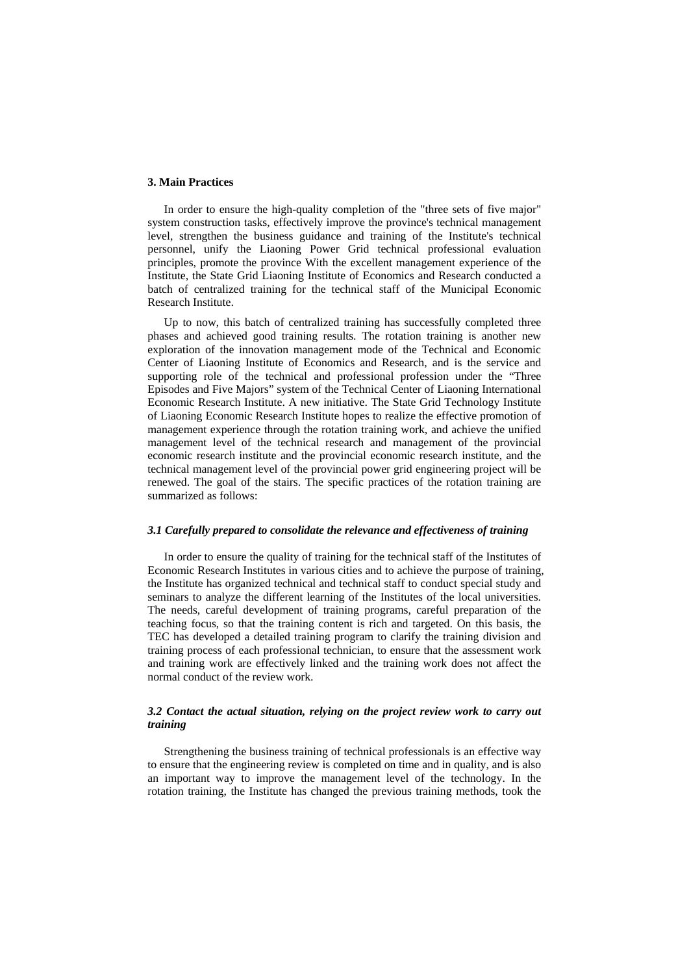# **3. Main Practices**

In order to ensure the high-quality completion of the "three sets of five major" system construction tasks, effectively improve the province's technical management level, strengthen the business guidance and training of the Institute's technical personnel, unify the Liaoning Power Grid technical professional evaluation principles, promote the province With the excellent management experience of the Institute, the State Grid Liaoning Institute of Economics and Research conducted a batch of centralized training for the technical staff of the Municipal Economic Research Institute.

Up to now, this batch of centralized training has successfully completed three phases and achieved good training results. The rotation training is another new exploration of the innovation management mode of the Technical and Economic Center of Liaoning Institute of Economics and Research, and is the service and supporting role of the technical and professional profession under the "Three Episodes and Five Majors" system of the Technical Center of Liaoning International Economic Research Institute. A new initiative. The State Grid Technology Institute of Liaoning Economic Research Institute hopes to realize the effective promotion of management experience through the rotation training work, and achieve the unified management level of the technical research and management of the provincial economic research institute and the provincial economic research institute, and the technical management level of the provincial power grid engineering project will be renewed. The goal of the stairs. The specific practices of the rotation training are summarized as follows:

#### *3.1 Carefully prepared to consolidate the relevance and effectiveness of training*

In order to ensure the quality of training for the technical staff of the Institutes of Economic Research Institutes in various cities and to achieve the purpose of training, the Institute has organized technical and technical staff to conduct special study and seminars to analyze the different learning of the Institutes of the local universities. The needs, careful development of training programs, careful preparation of the teaching focus, so that the training content is rich and targeted. On this basis, the TEC has developed a detailed training program to clarify the training division and training process of each professional technician, to ensure that the assessment work and training work are effectively linked and the training work does not affect the normal conduct of the review work.

# *3.2 Contact the actual situation, relying on the project review work to carry out training*

Strengthening the business training of technical professionals is an effective way to ensure that the engineering review is completed on time and in quality, and is also an important way to improve the management level of the technology. In the rotation training, the Institute has changed the previous training methods, took the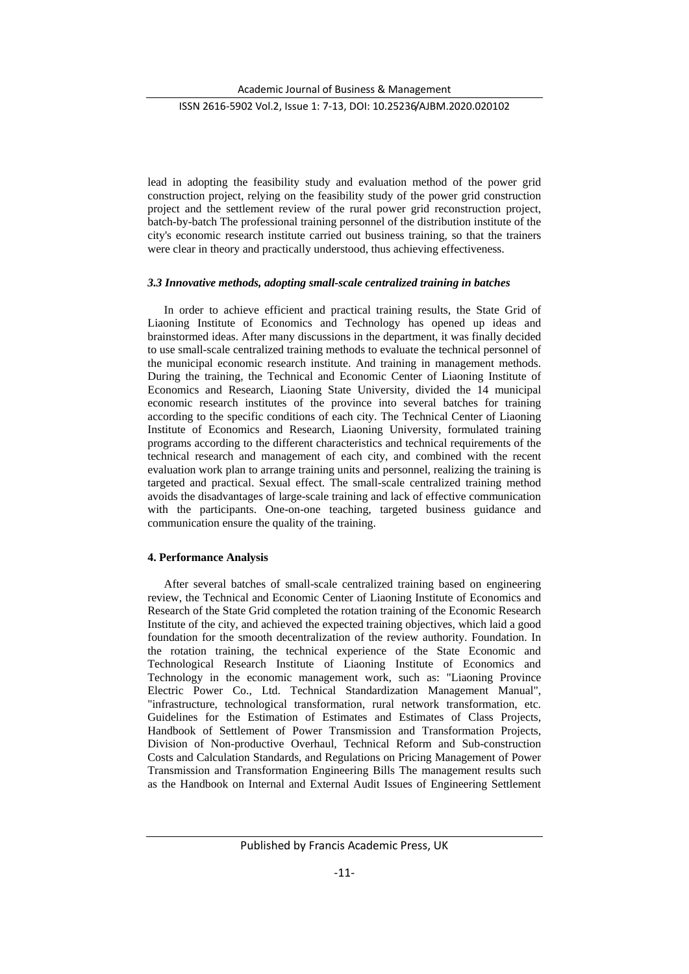Academic Journal of Business & Management

## ISSN 2616-5902 Vol.2, Issue 1: 7-13, DOI: 10.25236/AJBM.2020.020102

lead in adopting the feasibility study and evaluation method of the power grid construction project, relying on the feasibility study of the power grid construction project and the settlement review of the rural power grid reconstruction project, batch-by-batch The professional training personnel of the distribution institute of the city's economic research institute carried out business training, so that the trainers were clear in theory and practically understood, thus achieving effectiveness.

## *3.3 Innovative methods, adopting small-scale centralized training in batches*

In order to achieve efficient and practical training results, the State Grid of Liaoning Institute of Economics and Technology has opened up ideas and brainstormed ideas. After many discussions in the department, it was finally decided to use small-scale centralized training methods to evaluate the technical personnel of the municipal economic research institute. And training in management methods. During the training, the Technical and Economic Center of Liaoning Institute of Economics and Research, Liaoning State University, divided the 14 municipal economic research institutes of the province into several batches for training according to the specific conditions of each city. The Technical Center of Liaoning Institute of Economics and Research, Liaoning University, formulated training programs according to the different characteristics and technical requirements of the technical research and management of each city, and combined with the recent evaluation work plan to arrange training units and personnel, realizing the training is targeted and practical. Sexual effect. The small-scale centralized training method avoids the disadvantages of large-scale training and lack of effective communication with the participants. One-on-one teaching, targeted business guidance and communication ensure the quality of the training.

#### **4. Performance Analysis**

After several batches of small-scale centralized training based on engineering review, the Technical and Economic Center of Liaoning Institute of Economics and Research of the State Grid completed the rotation training of the Economic Research Institute of the city, and achieved the expected training objectives, which laid a good foundation for the smooth decentralization of the review authority. Foundation. In the rotation training, the technical experience of the State Economic and Technological Research Institute of Liaoning Institute of Economics and Technology in the economic management work, such as: "Liaoning Province Electric Power Co., Ltd. Technical Standardization Management Manual", "infrastructure, technological transformation, rural network transformation, etc. Guidelines for the Estimation of Estimates and Estimates of Class Projects, Handbook of Settlement of Power Transmission and Transformation Projects, Division of Non-productive Overhaul, Technical Reform and Sub-construction Costs and Calculation Standards, and Regulations on Pricing Management of Power Transmission and Transformation Engineering Bills The management results such as the Handbook on Internal and External Audit Issues of Engineering Settlement

Published by Francis Academic Press, UK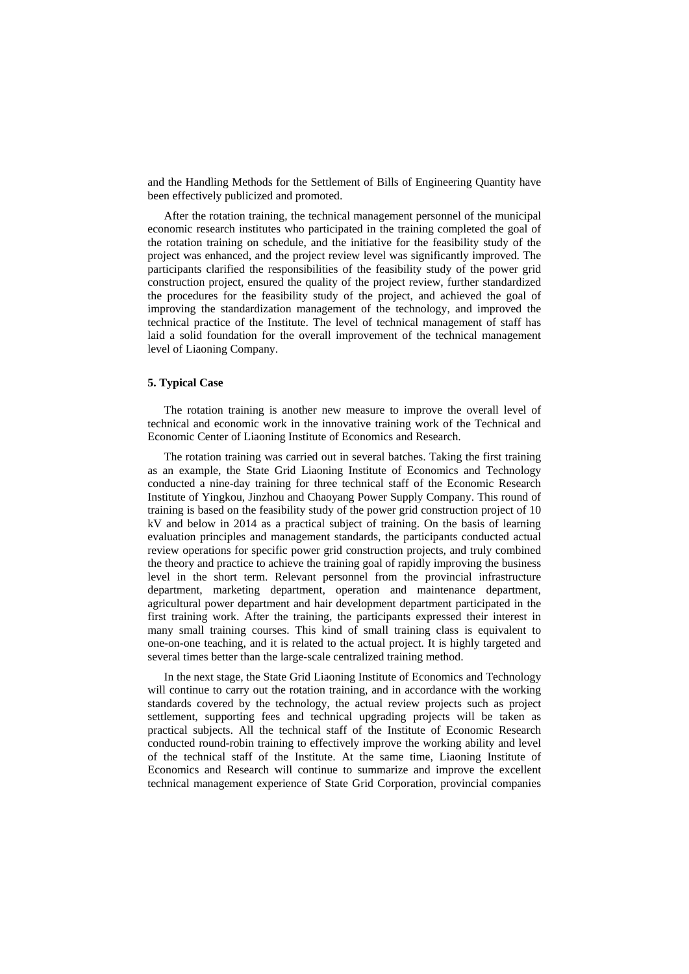and the Handling Methods for the Settlement of Bills of Engineering Quantity have been effectively publicized and promoted.

After the rotation training, the technical management personnel of the municipal economic research institutes who participated in the training completed the goal of the rotation training on schedule, and the initiative for the feasibility study of the project was enhanced, and the project review level was significantly improved. The participants clarified the responsibilities of the feasibility study of the power grid construction project, ensured the quality of the project review, further standardized the procedures for the feasibility study of the project, and achieved the goal of improving the standardization management of the technology, and improved the technical practice of the Institute. The level of technical management of staff has laid a solid foundation for the overall improvement of the technical management level of Liaoning Company.

## **5. Typical Case**

The rotation training is another new measure to improve the overall level of technical and economic work in the innovative training work of the Technical and Economic Center of Liaoning Institute of Economics and Research.

The rotation training was carried out in several batches. Taking the first training as an example, the State Grid Liaoning Institute of Economics and Technology conducted a nine-day training for three technical staff of the Economic Research Institute of Yingkou, Jinzhou and Chaoyang Power Supply Company. This round of training is based on the feasibility study of the power grid construction project of 10 kV and below in 2014 as a practical subject of training. On the basis of learning evaluation principles and management standards, the participants conducted actual review operations for specific power grid construction projects, and truly combined the theory and practice to achieve the training goal of rapidly improving the business level in the short term. Relevant personnel from the provincial infrastructure department, marketing department, operation and maintenance department, agricultural power department and hair development department participated in the first training work. After the training, the participants expressed their interest in many small training courses. This kind of small training class is equivalent to one-on-one teaching, and it is related to the actual project. It is highly targeted and several times better than the large-scale centralized training method.

In the next stage, the State Grid Liaoning Institute of Economics and Technology will continue to carry out the rotation training, and in accordance with the working standards covered by the technology, the actual review projects such as project settlement, supporting fees and technical upgrading projects will be taken as practical subjects. All the technical staff of the Institute of Economic Research conducted round-robin training to effectively improve the working ability and level of the technical staff of the Institute. At the same time, Liaoning Institute of Economics and Research will continue to summarize and improve the excellent technical management experience of State Grid Corporation, provincial companies